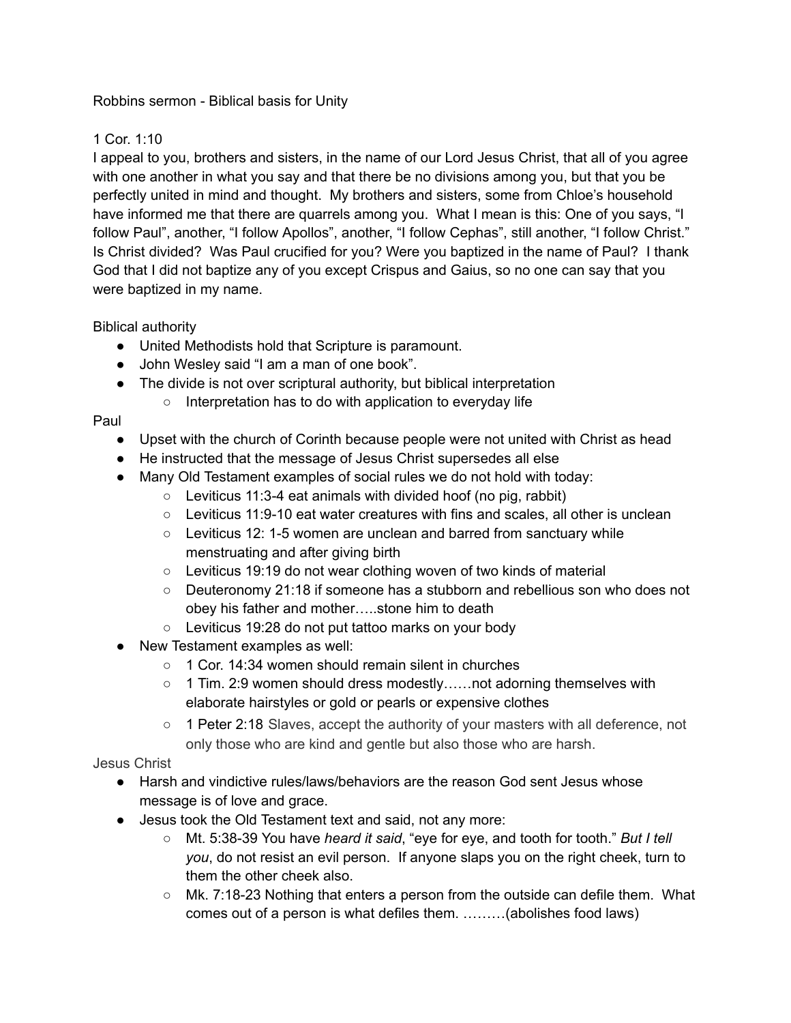### Robbins sermon - Biblical basis for Unity

# 1 Cor. 1:10

I appeal to you, brothers and sisters, in the name of our Lord Jesus Christ, that all of you agree with one another in what you say and that there be no divisions among you, but that you be perfectly united in mind and thought. My brothers and sisters, some from Chloe's household have informed me that there are quarrels among you. What I mean is this: One of you says, "I follow Paul", another, "I follow Apollos", another, "I follow Cephas", still another, "I follow Christ." Is Christ divided? Was Paul crucified for you? Were you baptized in the name of Paul? I thank God that I did not baptize any of you except Crispus and Gaius, so no one can say that you were baptized in my name.

## Biblical authority

- United Methodists hold that Scripture is paramount.
- John Wesley said "I am a man of one book".
- The divide is not over scriptural authority, but biblical interpretation ○ Interpretation has to do with application to everyday life

## Paul

- Upset with the church of Corinth because people were not united with Christ as head
- He instructed that the message of Jesus Christ supersedes all else
- Many Old Testament examples of social rules we do not hold with today:
	- Leviticus 11:3-4 eat animals with divided hoof (no pig, rabbit)
	- $\circ$  Leviticus 11:9-10 eat water creatures with fins and scales, all other is unclean
	- Leviticus 12: 1-5 women are unclean and barred from sanctuary while menstruating and after giving birth
	- Leviticus 19:19 do not wear clothing woven of two kinds of material
	- Deuteronomy 21:18 if someone has a stubborn and rebellious son who does not obey his father and mother…..stone him to death
	- Leviticus 19:28 do not put tattoo marks on your body
- New Testament examples as well:
	- 1 Cor. 14:34 women should remain silent in churches
	- $\circ$  1 Tim. 2:9 women should dress modestly......not adorning themselves with elaborate hairstyles or gold or pearls or expensive clothes
	- 1 Peter 2:18 Slaves, accept the authority of your masters with all deference, not only those who are kind and gentle but also those who are harsh.

## Jesus Christ

- Harsh and vindictive rules/laws/behaviors are the reason God sent Jesus whose message is of love and grace.
- Jesus took the Old Testament text and said, not any more:
	- Mt. 5:38-39 You have *heard it said*, "eye for eye, and tooth for tooth." *But I tell you*, do not resist an evil person. If anyone slaps you on the right cheek, turn to them the other cheek also.
	- Mk. 7:18-23 Nothing that enters a person from the outside can defile them. What comes out of a person is what defiles them. ………(abolishes food laws)